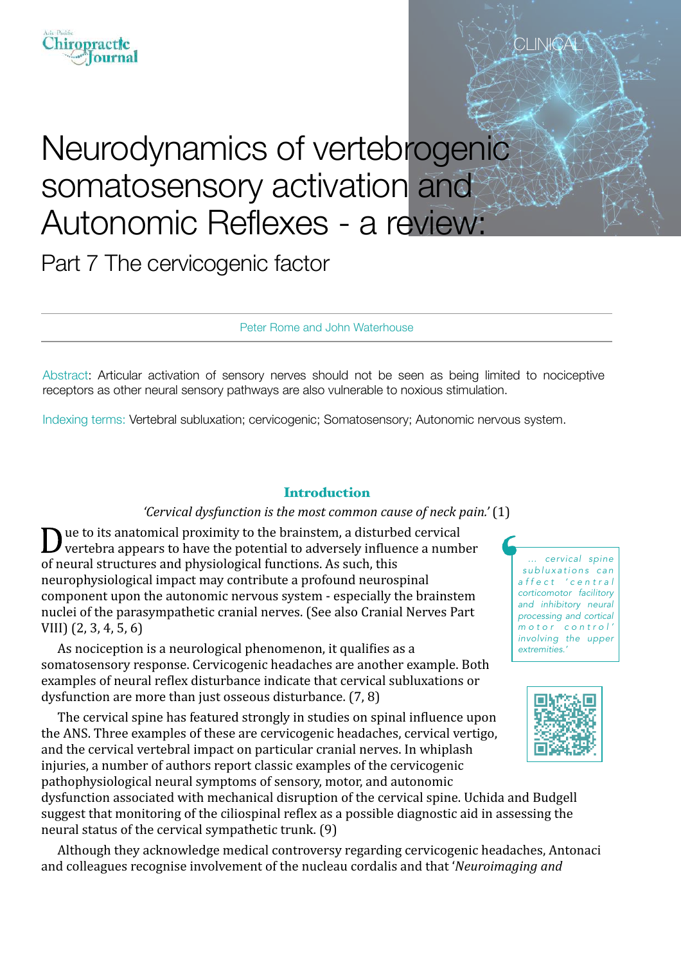# Neurodynamics of vertebrogenic somatosensory activation and Autonomic Reflexes - a review:

Part 7 The cervicogenic factor

Peter Rome and John Waterhouse

Abstract: Articular activation of sensory nerves should not be seen as being limited to nociceptive receptors as other neural sensory pathways are also vulnerable to noxious stimulation.

Indexing terms: Vertebral subluxation; cervicogenic; Somatosensory; Autonomic nervous system.

### **Introduction**

### *'Cervical dysfunction is the most common cause of neck pain.'* (1)

 $\sum$  ue to its anatomical proximity to the brainstem, a disturbed cervical vertebra appears to have the potential to adversely influence a number of neural structures and physiological functions. As such, this neurophysiological impact may contribute a profound neurospinal component upon the autonomic nervous system - especially the brainstem nuclei of the parasympathetic cranial nerves. (See also Cranial Nerves Part  $VIII$ )  $(2, 3, 4, 5, 6)$ 

As nociception is a neurological phenomenon, it qualifies as a somatosensory response. Cervicogenic headaches are another example. Both examples of neural reflex disturbance indicate that cervical subluxations or dysfunction are more than just osseous disturbance.  $(7, 8)$ 

The cervical spine has featured strongly in studies on spinal influence upon the ANS. Three examples of these are cervicogenic headaches, cervical vertigo, and the cervical vertebral impact on particular cranial nerves. In whiplash injuries, a number of authors report classic examples of the cervicogenic pathophysiological neural symptoms of sensory, motor, and autonomic dysfunction associated with mechanical disruption of the cervical spine. Uchida and Budgell suggest that monitoring of the ciliospinal reflex as a possible diagnostic aid in assessing the neural status of the cervical sympathetic trunk.  $(9)$ 

Although they acknowledge medical controversy regarding cervicogenic headaches, Antonaci and colleagues recognise involvement of the nucleau cordalis and that '*Neuroimaging and* 

*… cervical spine*   $subluxations can$ *a f f e c t ' c e n t r a l corticomotor facilitory and inhibitory neural processing and cortical m o t o r c o n t r o l ' involving the upper extremities.'*





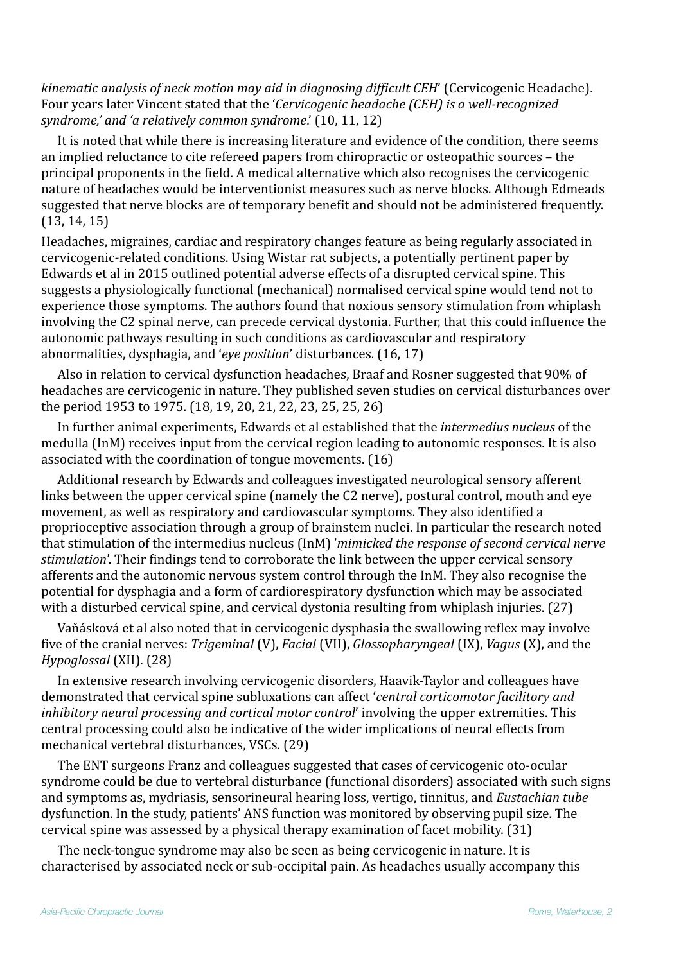*kinematic analysis of neck motion may aid in diagnosing difficult CEH'* (Cervicogenic Headache). Four years later Vincent stated that the '*Cervicogenic headache* (*CEH*) is a well-recognized *syndrome,'* and 'a relatively common syndrome.' (10, 11, 12)

It is noted that while there is increasing literature and evidence of the condition, there seems an implied reluctance to cite refereed papers from chiropractic or osteopathic sources – the principal proponents in the field. A medical alternative which also recognises the cervicogenic nature of headaches would be interventionist measures such as nerve blocks. Although Edmeads suggested that nerve blocks are of temporary benefit and should not be administered frequently.  $(13, 14, 15)$ 

Headaches, migraines, cardiac and respiratory changes feature as being regularly associated in cervicogenic-related conditions. Using Wistar rat subjects, a potentially pertinent paper by Edwards et al in 2015 outlined potential adverse effects of a disrupted cervical spine. This suggests a physiologically functional (mechanical) normalised cervical spine would tend not to experience those symptoms. The authors found that noxious sensory stimulation from whiplash involving the C2 spinal nerve, can precede cervical dystonia. Further, that this could influence the autonomic pathways resulting in such conditions as cardiovascular and respiratory abnormalities, dysphagia, and '*eye position*' disturbances. (16, 17)

Also in relation to cervical dysfunction headaches, Braaf and Rosner suggested that 90% of headaches are cervicogenic in nature. They published seven studies on cervical disturbances over the period 1953 to 1975. (18, 19, 20, 21, 22, 23, 25, 25, 26)

In further animal experiments, Edwards et al established that the *intermedius nucleus* of the medulla (InM) receives input from the cervical region leading to autonomic responses. It is also associated with the coordination of tongue movements.  $(16)$ 

Additional research by Edwards and colleagues investigated neurological sensory afferent links between the upper cervical spine (namely the C2 nerve), postural control, mouth and eve movement, as well as respiratory and cardiovascular symptoms. They also identified a proprioceptive association through a group of brainstem nuclei. In particular the research noted that stimulation of the intermedius nucleus (InM) 'mimicked the response of second cervical nerve *stimulation*'. Their findings tend to corroborate the link between the upper cervical sensory afferents and the autonomic nervous system control through the InM. They also recognise the potential for dysphagia and a form of cardiorespiratory dysfunction which may be associated with a disturbed cervical spine, and cervical dystonia resulting from whiplash injuries.  $(27)$ 

Vaňásková et al also noted that in cervicogenic dysphasia the swallowing reflex may involve five of the cranial nerves: *Trigeminal* (V), *Facial* (VII), *Glossopharyngeal* (IX), *Vagus* (X), and the *Hypoglossal* (XII). (28)

In extensive research involving cervicogenic disorders, Haavik-Taylor and colleagues have demonstrated that cervical spine subluxations can affect '*central corticomotor facilitory and inhibitory neural processing and cortical motor control'* involving the upper extremities. This central processing could also be indicative of the wider implications of neural effects from mechanical vertebral disturbances, VSCs. (29)

The ENT surgeons Franz and colleagues suggested that cases of cervicogenic oto-ocular syndrome could be due to vertebral disturbance (functional disorders) associated with such signs and symptoms as, mydriasis, sensorineural hearing loss, vertigo, tinnitus, and *Eustachian tube* dysfunction. In the study, patients' ANS function was monitored by observing pupil size. The cervical spine was assessed by a physical therapy examination of facet mobility. (31)

The neck-tongue syndrome may also be seen as being cervicogenic in nature. It is characterised by associated neck or sub-occipital pain. As headaches usually accompany this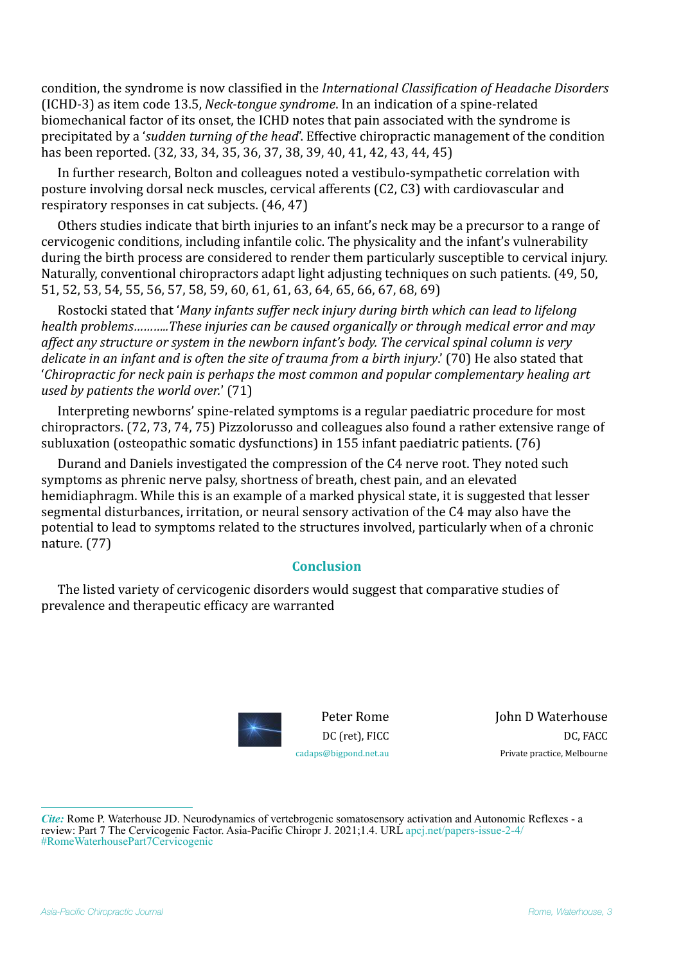condition, the syndrome is now classified in the *International Classification of Headache Disorders* (ICHD-3) as item code 13.5, *Neck-tongue syndrome*. In an indication of a spine-related biomechanical factor of its onset, the ICHD notes that pain associated with the syndrome is precipitated by a '*sudden turning of the head*'. Effective chiropractic management of the condition has been reported. (32, 33, 34, 35, 36, 37, 38, 39, 40, 41, 42, 43, 44, 45)

In further research, Bolton and colleagues noted a vestibulo-sympathetic correlation with posture involving dorsal neck muscles, cervical afferents (C2, C3) with cardiovascular and respiratory responses in cat subjects.  $(46, 47)$ 

Others studies indicate that birth injuries to an infant's neck may be a precursor to a range of cervicogenic conditions, including infantile colic. The physicality and the infant's vulnerability during the birth process are considered to render them particularly susceptible to cervical injury. Naturally, conventional chiropractors adapt light adjusting techniques on such patients. (49, 50, 51, 52, 53, 54, 55, 56, 57, 58, 59, 60, 61, 61, 63, 64, 65, 66, 67, 68, 69)

Rostocki stated that '*Many infants suffer neck injury during birth which can lead to lifelong* health problems...........These injuries can be caused organically or through medical error and may affect any structure or system in the newborn infant's body. The cervical spinal column is very *delicate* in an infant and is often the site of trauma from a birth injury.' (70) He also stated that 'Chiropractic for neck pain is perhaps the most common and popular complementary healing art *used by patients the world over.'* (71)

Interpreting newborns' spine-related symptoms is a regular paediatric procedure for most chiropractors. (72, 73, 74, 75) Pizzolorusso and colleagues also found a rather extensive range of subluxation (osteopathic somatic dysfunctions) in 155 infant paediatric patients.  $(76)$ 

Durand and Daniels investigated the compression of the C4 nerve root. They noted such symptoms as phrenic nerve palsy, shortness of breath, chest pain, and an elevated hemidiaphragm. While this is an example of a marked physical state, it is suggested that lesser segmental disturbances, irritation, or neural sensory activation of the C4 may also have the potential to lead to symptoms related to the structures involved, particularly when of a chronic nature. (77)

## **Conclusion**

The listed variety of cervicogenic disorders would suggest that comparative studies of prevalence and therapeutic efficacy are warranted



**John D Waterhouse** DC, FACC Private practice, Melbourne

*Cite:* Rome P. Waterhouse JD. Neurodynamics of vertebrogenic somatosensory activation and Autonomic Reflexes - a review: Part 7 The Cervicogenic Factor. Asia-Pacific Chiropr J. 2021;1.4. URL [apcj.net/papers-issue-2-4/](http://apcj.net/papers-issue-2-4/#RomeWaterhousePart7Cervicogenic) [#RomeWaterhousePart7Cervicogenic](http://apcj.net/papers-issue-2-4/#RomeWaterhousePart7Cervicogenic)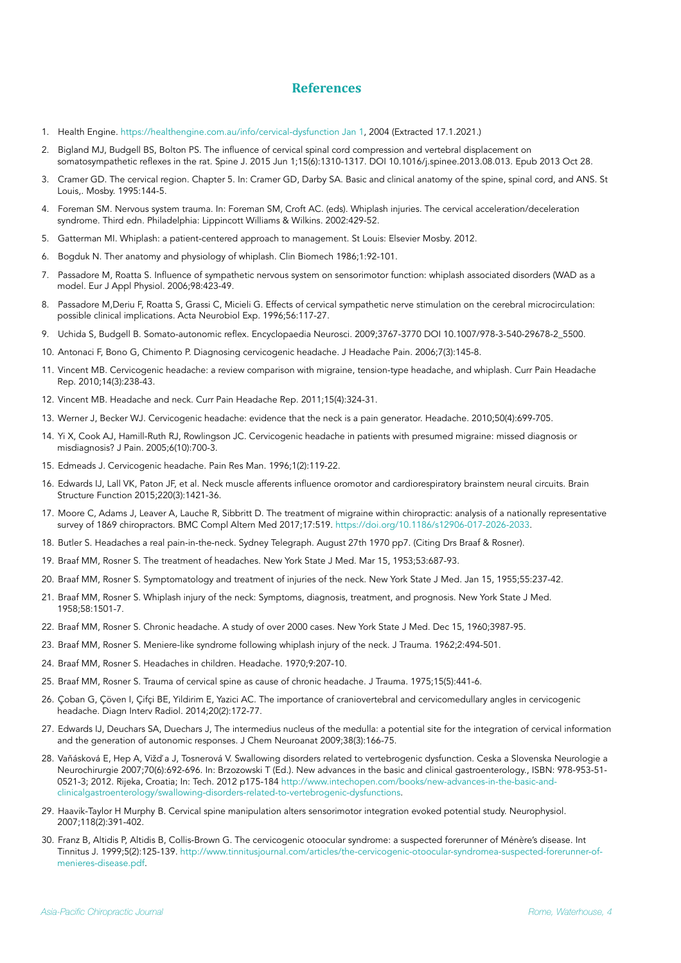### **References**

- 1. Health Engine. [https://healthengine.com.au/info/cervical-dysfunction Jan 1,](https://healthengine.com.au/info/cervical-dysfunction%2520Jan%25201) 2004 (Extracted 17.1.2021.)
- 2. Bigland MJ, Budgell BS, Bolton PS. The influence of cervical spinal cord compression and vertebral displacement on somatosympathetic reflexes in the rat. Spine J. 2015 Jun 1;15(6):1310-1317. DOI 10.1016/j.spinee.2013.08.013. Epub 2013 Oct 28.
- 3. Cramer GD. The cervical region. Chapter 5. In: Cramer GD, Darby SA. Basic and clinical anatomy of the spine, spinal cord, and ANS. St Louis,. Mosby. 1995:144-5.
- 4. Foreman SM. Nervous system trauma. In: Foreman SM, Croft AC. (eds). Whiplash injuries. The cervical acceleration/deceleration syndrome. Third edn. Philadelphia: Lippincott Williams & Wilkins. 2002:429-52.
- 5. Gatterman MI. Whiplash: a patient-centered approach to management. St Louis: Elsevier Mosby. 2012.
- 6. Bogduk N. Ther anatomy and physiology of whiplash. Clin Biomech 1986;1:92-101.
- 7. Passadore M, Roatta S. Influence of sympathetic nervous system on sensorimotor function: whiplash associated disorders (WAD as a model. Eur J Appl Physiol. 2006;98:423-49.
- 8. Passadore M,Deriu F, Roatta S, Grassi C, Micieli G. Effects of cervical sympathetic nerve stimulation on the cerebral microcirculation: possible clinical implications. Acta Neurobiol Exp. 1996;56:117-27.
- 9. Uchida S, Budgell B. Somato-autonomic reflex. Encyclopaedia Neurosci. 2009;3767-3770 DOI 10.1007/978-3-540-29678-2\_5500.
- 10. Antonaci F, Bono G, Chimento P. Diagnosing cervicogenic headache. J Headache Pain. 2006;7(3):145-8.
- 11. Vincent MB. Cervicogenic headache: a review comparison with migraine, tension-type headache, and whiplash. Curr Pain Headache Rep. 2010;14(3):238-43.
- 12. Vincent MB. Headache and neck. Curr Pain Headache Rep. 2011;15(4):324-31.
- 13. Werner J, Becker WJ. Cervicogenic headache: evidence that the neck is a pain generator. Headache. 2010;50(4):699-705.
- 14. Yi X, Cook AJ, Hamill-Ruth RJ, Rowlingson JC. Cervicogenic headache in patients with presumed migraine: missed diagnosis or misdiagnosis? J Pain. 2005;6(10):700-3.
- 15. Edmeads J. Cervicogenic headache. Pain Res Man. 1996;1(2):119-22.
- 16. Edwards IJ, Lall VK, Paton JF, et al. Neck muscle afferents influence oromotor and cardiorespiratory brainstem neural circuits. Brain Structure Function 2015;220(3):1421-36.
- 17. Moore C, Adams J, Leaver A, Lauche R, Sibbritt D. The treatment of migraine within chiropractic: analysis of a nationally representative survey of 1869 chiropractors. BMC Compl Altern Med 2017;17:519. [https://doi.org/10.1186/s12906-017-2026-2033.](https://doi.org/10.1186/s12906-017-2026-2033)
- 18. Butler S. Headaches a real pain-in-the-neck. Sydney Telegraph. August 27th 1970 pp7. (Citing Drs Braaf & Rosner).
- 19. Braaf MM, Rosner S. The treatment of headaches. New York State J Med. Mar 15, 1953;53:687-93.
- 20. Braaf MM, Rosner S. Symptomatology and treatment of injuries of the neck. New York State J Med. Jan 15, 1955;55:237-42.
- 21. Braaf MM, Rosner S. Whiplash injury of the neck: Symptoms, diagnosis, treatment, and prognosis. New York State J Med. 1958;58:1501-7.
- 22. Braaf MM, Rosner S. Chronic headache. A study of over 2000 cases. New York State J Med. Dec 15, 1960;3987-95.
- 23. Braaf MM, Rosner S. Meniere-like syndrome following whiplash injury of the neck. J Trauma. 1962;2:494-501.
- 24. Braaf MM, Rosner S. Headaches in children. Headache. 1970;9:207-10.
- 25. Braaf MM, Rosner S. Trauma of cervical spine as cause of chronic headache. J Trauma. 1975;15(5):441-6.
- 26. Çoban G, Çöven I, Çifçi BE, Yildirim E, Yazici AC. The importance of craniovertebral and cervicomedullary angles in cervicogenic headache. Diagn Interv Radiol. 2014;20(2):172-77.
- 27. Edwards IJ, Deuchars SA, Duechars J, The intermedius nucleus of the medulla: a potential site for the integration of cervical information and the generation of autonomic responses. J Chem Neuroanat 2009;38(3):166-75.
- 28. Vaňásková E, Hep A, Vižď a J, Tosnerová V. Swallowing disorders related to vertebrogenic dysfunction. Ceska a Slovenska Neurologie a Neurochirurgie 2007;70(6):692-696. In: Brzozowski T (Ed.). New advances in the basic and clinical gastroenterology., ISBN: 978-953-51- [0521-3; 2012. Rijeka, Croatia; In: Tech. 2012 p175-184 http://www.intechopen.com/books/new-advances-in-the-basic-and](http://www.intechopen.com/books/new-advances-in-the-basic-and-clinicalgastroenterology/swallowing-disorders-related-to-vertebrogenic-dysfunctions)[clinicalgastroenterology/swallowing-disorders-related-to-vertebrogenic-dysfunctions.](http://www.intechopen.com/books/new-advances-in-the-basic-and-clinicalgastroenterology/swallowing-disorders-related-to-vertebrogenic-dysfunctions)
- 29. Haavik-Taylor H Murphy B. Cervical spine manipulation alters sensorimotor integration evoked potential study. Neurophysiol. 2007;118(2):391-402.
- 30. Franz B, Altidis P, Altidis B, Collis-Brown G. The cervicogenic otoocular syndrome: a suspected forerunner of Ménère's disease. Int Tinnitus J. 1999;5(2):125-139. [http://www.tinnitusjournal.com/articles/the-cervicogenic-otoocular-syndromea-suspected-forerunner-of](http://www.tinnitusjournal.com/articles/the-cervicogenic-otoocular-syndromea-suspected-forerunner-of-menieres-disease.pdf)[menieres-disease.pdf](http://www.tinnitusjournal.com/articles/the-cervicogenic-otoocular-syndromea-suspected-forerunner-of-menieres-disease.pdf).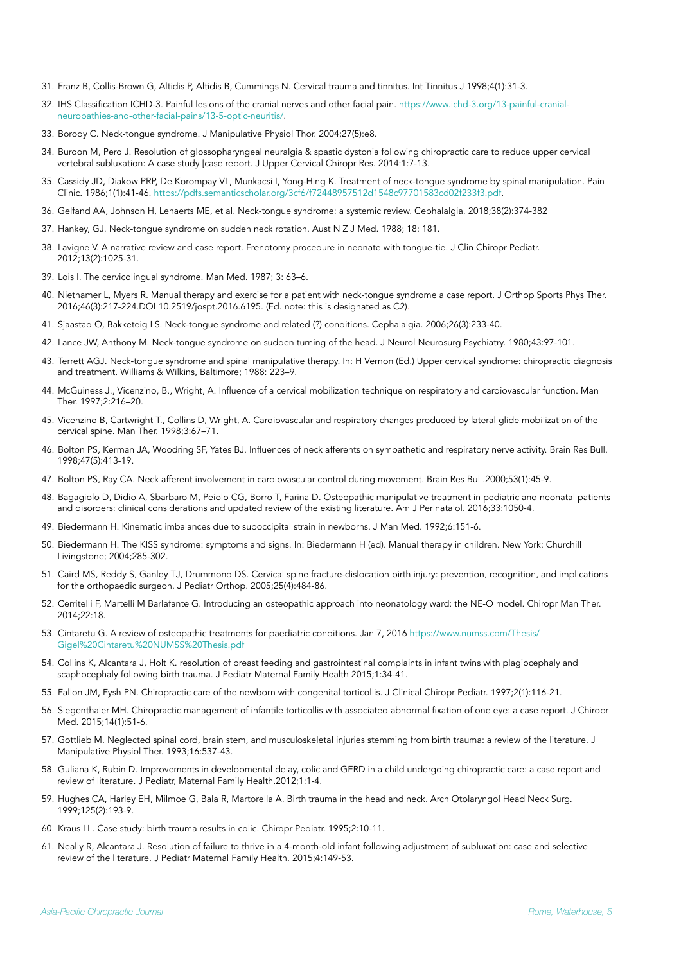- 31. Franz B, Collis-Brown G, Altidis P, Altidis B, Cummings N. Cervical trauma and tinnitus. Int Tinnitus J 1998;4(1):31-3.
- 32. IHS Classification ICHD-3. Painful lesions of the cranial nerves and other facial pain. [https://www.ichd-3.org/13-painful-cranial](https://www.ichd-3.org/13-painful-cranial-neuropathies-and-other-facial-pains/13-5-optic-neuritis/)[neuropathies-and-other-facial-pains/13-5-optic-neuritis/.](https://www.ichd-3.org/13-painful-cranial-neuropathies-and-other-facial-pains/13-5-optic-neuritis/)
- 33. Borody C. Neck-tongue syndrome. J Manipulative Physiol Thor. 2004;27(5):e8.
- 34. Buroon M, Pero J. Resolution of glossopharyngeal neuralgia & spastic dystonia following chiropractic care to reduce upper cervical vertebral subluxation: A case study [case report. J Upper Cervical Chiropr Res. 2014:1:7-13.
- 35. Cassidy JD, Diakow PRP, De Korompay VL, Munkacsi I, Yong-Hing K. Treatment of neck-tongue syndrome by spinal manipulation. Pain Clinic. 1986;1(1):41-46. <https://pdfs.semanticscholar.org/3cf6/f72448957512d1548c97701583cd02f233f3.pdf>.
- 36. Gelfand AA, Johnson H, Lenaerts ME, et al. Neck-tongue syndrome: a systemic review. Cephalalgia. 2018;38(2):374-382
- 37. Hankey, GJ. Neck-tongue syndrome on sudden neck rotation. Aust N Z J Med. 1988; 18: 181.
- 38. Lavigne V. A narrative review and case report. Frenotomy procedure in neonate with tongue-tie. J Clin Chiropr Pediatr. 2012;13(2):1025-31.
- 39. Lois I. The cervicolingual syndrome. Man Med. 1987; 3: 63–6.
- 40. Niethamer L, Myers R. Manual therapy and exercise for a patient with neck-tongue syndrome a case report. J Orthop Sports Phys Ther. 2016;46(3):217-224.DOI 10.2519/jospt.2016.6195. (Ed. note: this is designated as C2).
- 41. Sjaastad O, Bakketeig LS. Neck-tongue syndrome and related (?) conditions. Cephalalgia. 2006;26(3):233-40.
- 42. Lance JW, Anthony M. Neck-tongue syndrome on sudden turning of the head. J Neurol Neurosurg Psychiatry. 1980;43:97-101.
- 43. Terrett AGJ. Neck-tongue syndrome and spinal manipulative therapy. In: H Vernon (Ed.) Upper cervical syndrome: chiropractic diagnosis and treatment. Williams & Wilkins, Baltimore; 1988: 223–9.
- 44. McGuiness J., Vicenzino, B., Wright, A. Influence of a cervical mobilization technique on respiratory and cardiovascular function. Man Ther. 1997;2:216–20.
- 45. Vicenzino B, Cartwright T., Collins D, Wright, A. Cardiovascular and respiratory changes produced by lateral glide mobilization of the cervical spine. Man Ther. 1998;3:67–71.
- 46. Bolton PS, Kerman JA, Woodring SF, Yates BJ. Influences of neck afferents on sympathetic and respiratory nerve activity. Brain Res Bull. 1998;47(5):413-19.
- 47. Bolton PS, Ray CA. Neck afferent involvement in cardiovascular control during movement. Brain Res Bul .2000;53(1):45-9.
- 48. Bagagiolo D, Didio A, Sbarbaro M, Peiolo CG, Borro T, Farina D. Osteopathic manipulative treatment in pediatric and neonatal patients and disorders: clinical considerations and updated review of the existing literature. Am J Perinatalol. 2016;33:1050-4.
- 49. Biedermann H. Kinematic imbalances due to suboccipital strain in newborns. J Man Med. 1992;6:151-6.
- 50. Biedermann H. The KISS syndrome: symptoms and signs. In: Biedermann H (ed). Manual therapy in children. New York: Churchill Livingstone; 2004;285-302.
- 51. Caird MS, Reddy S, Ganley TJ, Drummond DS. Cervical spine fracture-dislocation birth injury: prevention, recognition, and implications for the orthopaedic surgeon. J Pediatr Orthop. 2005;25(4):484-86.
- 52. Cerritelli F, Martelli M Barlafante G. Introducing an osteopathic approach into neonatology ward: the NE-O model. Chiropr Man Ther. 2014;22:18.
- 53. Cintaretu G. A review of osteopathic treatments for paediatric conditions. Jan 7, 2016 [https://www.numss.com/Thesis/](https://www.numss.com/Thesis/Gigel%2520Cintaretu%2520NUMSS%2520Thesis.pdf) [Gigel%20Cintaretu%20NUMSS%20Thesis.pdf](https://www.numss.com/Thesis/Gigel%2520Cintaretu%2520NUMSS%2520Thesis.pdf)
- 54. Collins K, Alcantara J, Holt K. resolution of breast feeding and gastrointestinal complaints in infant twins with plagiocephaly and scaphocephaly following birth trauma. J Pediatr Maternal Family Health 2015;1:34-41.
- 55. Fallon JM, Fysh PN. Chiropractic care of the newborn with congenital torticollis. J Clinical Chiropr Pediatr. 1997;2(1):116-21.
- 56. Siegenthaler MH. Chiropractic management of infantile torticollis with associated abnormal fixation of one eye: a case report. J Chiropr Med. 2015;14(1):51-6.
- 57. Gottlieb M. Neglected spinal cord, brain stem, and musculoskeletal injuries stemming from birth trauma: a review of the literature. J Manipulative Physiol Ther. 1993;16:537-43.
- 58. Guliana K, Rubin D. Improvements in developmental delay, colic and GERD in a child undergoing chiropractic care: a case report and review of literature. J Pediatr, Maternal Family Health.2012;1:1-4.
- 59. Hughes CA, Harley EH, Milmoe G, Bala R, Martorella A. Birth trauma in the head and neck. Arch Otolaryngol Head Neck Surg. 1999;125(2):193-9.
- 60. Kraus LL. Case study: birth trauma results in colic. Chiropr Pediatr. 1995;2:10-11.
- 61. Neally R, Alcantara J. Resolution of failure to thrive in a 4-month-old infant following adjustment of subluxation: case and selective review of the literature. J Pediatr Maternal Family Health. 2015;4:149-53.